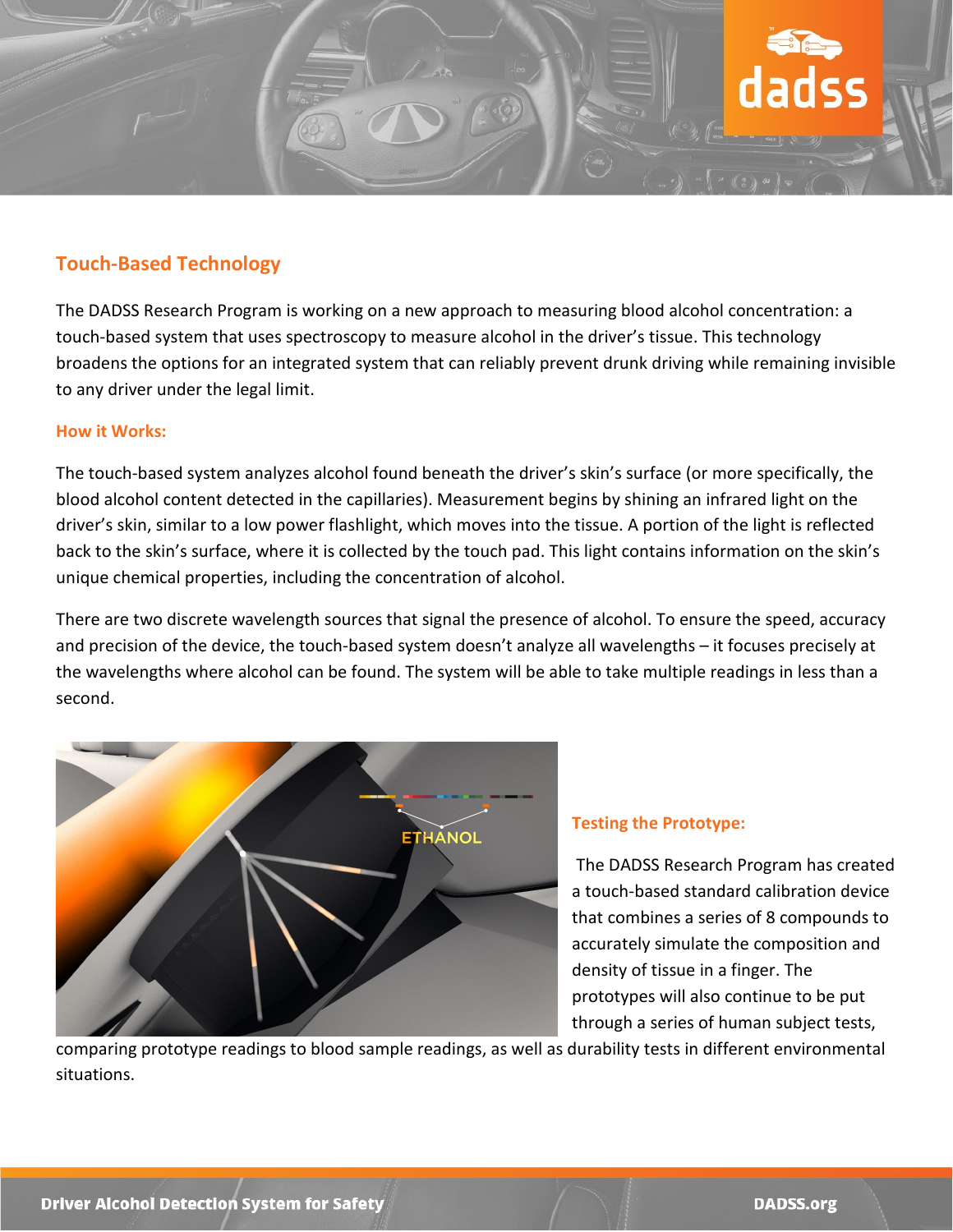

## **Touch-Based Technology**

The DADSS Research Program is working on a new approach to measuring blood alcohol concentration: a touch-based system that uses spectroscopy to measure alcohol in the driver's tissue. This technology broadens the options for an integrated system that can reliably prevent drunk driving while remaining invisible to any driver under the legal limit.

## **How it Works:**

The touch-based system analyzes alcohol found beneath the driver's skin's surface (or more specifically, the blood alcohol content detected in the capillaries). Measurement begins by shining an infrared light on the driver's skin, similar to a low power flashlight, which moves into the tissue. A portion of the light is reflected back to the skin's surface, where it is collected by the touch pad. This light contains information on the skin's unique chemical properties, including the concentration of alcohol.

There are two discrete wavelength sources that signal the presence of alcohol. To ensure the speed, accuracy and precision of the device, the touch-based system doesn't analyze all wavelengths – it focuses precisely at the wavelengths where alcohol can be found. The system will be able to take multiple readings in less than a second.



## **Testing the Prototype:**

The DADSS Research Program has created a touch-based standard calibration device that combines a series of 8 compounds to accurately simulate the composition and density of tissue in a finger. The prototypes will also continue to be put through a series of human subject tests,

comparing prototype readings to blood sample readings, as well as durability tests in different environmental situations.